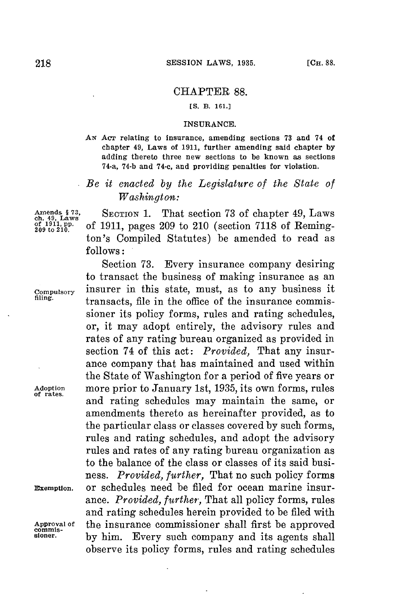## CHAPTER **88.**

## **[S. B. 161.3**

## **INSURANCE.**

**AN** Acr relating to insurance, amending sections **73** and 74 of chapter 49, Laws of **1911,** further amending said chapter **by** adding thereto three new sections to be known as sections 74-a, 74-b and 74-c, and providing penalties for violation.

## *Be it enacted by the Legislature of the State of Washington:*

Amends § 73, SECTION 1. That section 73 of chapter 49, Laws of 1911, pp. of 1911, pages 209 to 210 (section 7118 of Reming**of to11,** . of **1911,** pages **209** to 210 (section **7118** of Remington's Compiled Statutes) be amended to read as **follows:**

Section **73.** Every insurance company desiring to transact the business of making insurance as an **compulsory** insurer in this state, must, as to any business it transacts, file in the office of the insurance commissioner its policy forms, rules and rating schedules, or, it may adopt entirely, the advisory rules and rates of any rating bureau organized as provided in section 74 of this act: *Provided,* That any insurance company that has maintained and used within the State of Washington **for** a period of five years or **Adoption** more prior to January 1st, **1935,** its own forms, rules and rating schedules may maintain the same, or amendments thereto as hereinafter provided, as to the particular class or classes covered **by** such forms, rules and rating schedules, and adopt the advisory rules and rates of any rating bureau organization as to the balance of the class or classes of its said business. *Provided, further,* That no such policy forms **Exemption.** or schedules need be filed for ocean marine insurance. *Provided, further,* That all policy forms, rules and rating schedules herein provided to be filed with Approval of the insurance commissioner shall first be approved<br>commis-<br>sioner. by him Every such company and its agents shall **sioner. by** him. Every such company and its agents shall observe its policy forms, rules and rating schedules

**of rates.**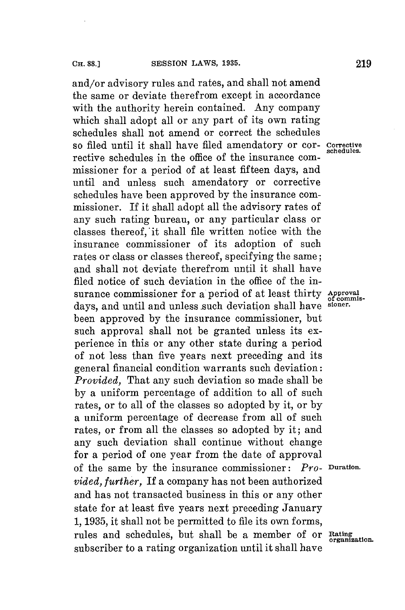and/or advisory rules and rates, and shall not amend the same or deviate therefrom except in accordance with the authority herein contained. Any company which shall adopt all or any part of its own rating schedules shall not amend or correct the schedules so filed until it shall have filed amendatory or cor- Corrective schedules. rective schedules in the office of the insurance commissioner for a period of at least fifteen days, and until and unless such amendatory or corrective schedules have been approved **by** the insurance commissioner. If it shall adopt all the advisory rates of any such rating bureau, or any particular class or classes thereof, it shall file written notice with the insurance commissioner of its adoption of such rates or class or classes thereof, specifying the same; and shall not deviate therefrom until it shall have filed notice of such deviation in the office of the insurance commissioner for a period of at least thirty Approval days, and until and unless such deviation shall have been approved **by** the insurance commissioner, but such approval shall not be granted unless its experience in this or any other state during a period of not less than five years next preceding and its general financial condition warrants such deviation: *Provided,* That any such deviation so made shall be **by** a uniform percentage of addition to all of such rates, or to all of the classes so adopted **by** it, or **by** a uniform percentage of decrease from all of such rates, or from all the classes so adopted **by** it; and any such deviation shall continue without change for a period of one year from the date of approval of the same **by** the insurance commissioner: *Pro-* **Duration.** *vided, further,* **If** a company has not been authorized and has not transacted business in this or any other state for at least five years next preceding January **1, 1935,** it shall not be permitted to file its own forms, rules and schedules, but shall be a member of or **Rating**<br>subscriber to a rating organization until it shall have

of commis-<br>sioner.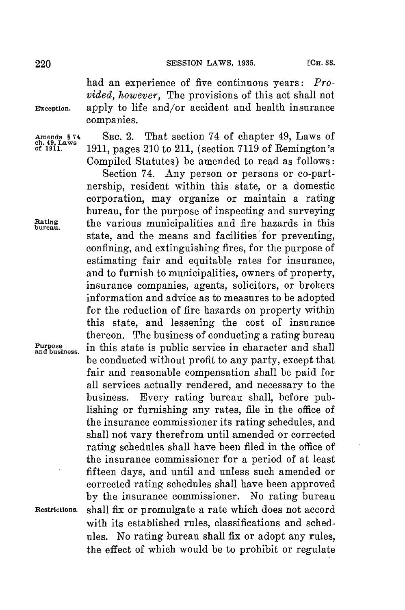220 **SESSION** LAWS, **1935. (CH. 88.**

had an experience of five continuous years: *Provided, however,* The provisions of this act shall not **Exception.** apply to life and/or accident and health insurance companies.

**Amends §** 74 **SEC.** 2. That section 74 of chapter 49, Laws of **ch. 49, Laws of 1911. 1911,** pages 210 to 211, (section **7119** of Remington's Compiled Statutes) be amended to read as follows:

Section 74. Any person or persons or co-partnership, resident within this state, or a domestic corporation, may organize or maintain a rating bureau, for the purpose of inspecting and surveying **Rating** the various municipalities and fire hazards in this **bureau.** state, and the means and facilities for preventing, confining, and extinguishing fires, **for** the purpose of estimating fair and equitable rates for insurance, and to furnish to municipalities, owners of property, insurance companies, agents, solicitors, or brokers information and advice as to measures to be adopted for the reduction of fire hazards on property within this state, and lessening the cost of insurance thereon. The business of conducting a rating bureau Purpose in this state is public service in character and shall be conducted without profit to any party, except that fair and reasonable compensation shall be paid **for** all services actually rendered, and necessary to the business. Every rating bureau shall, before publishing or furnishing any rates, file in the office of the insurance commissioner its rating schedules, and shall not vary therefrom until amended or corrected rating schedules shall have been filed in the office of the insurance commissioner for a period of at least fifteen days, and until and unless such amended or corrected rating schedules shall have been approved **by** the insurance commissioner. No rating bureau **Restrictions.** shall fix or promulgate a rate which does not accord with its established rules, classifications and schedules. No rating bureau shall fix or adopt any rules, the effect of which would be to prohibit or regulate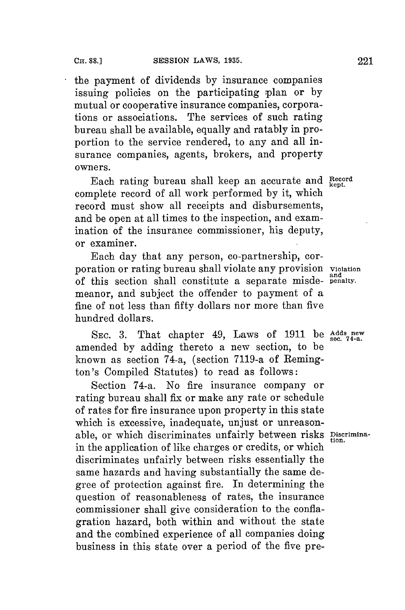the payment of dividends **by** insurance companies issuing policies on the participating plan or **by** mutual or cooperative insurance companies, corporations or associations. The services of such rating bureau shall be available, equally and ratably in proportion to the service rendered, to any and all insurance companies, agents, brokers, and property owners.

Each rating bureau shall keep an accurate and **Record** complete record of all work performed **by** it, which record must show all receipts and disbursements, and be open at all times to the inspection, and examination of the insurance commissioner, his deputy, or examiner.

Each day that any person, co-partnership, corporation or rating bureau shall violate any provision **violation and** of this section shall constitute a separate misde- **penalty.** meanor, and subject the offender to payment of a fine of not less than **fifty** dollars nor more than five hundred dollars.

**SEC. 3.** That chapter 49, Laws of **1911** be **Adds new sec. 74-a.** amended **by** adding thereto a new section, to be known as section 74-a, (section 7119-a of Remington's Compiled Statutes) to read as follows:

Section 74-a. No fire insurance company or rating bureau shall fix or make any rate or schedule of rates for fire insurance upon property in this state which is excessive, inadequate, unjust or unreasonable, or which discriminates unfairly between risks **Discrimina-**tion. in the application of like charges or credits, or which discriminates unfairly between risks essentially the same hazards and having substantially the same degree of protection against fire. In determining the question of reasonableness of rates, the insurance commissioner shall give consideration to the conflagration hazard, both within and without the state and the combined experience of all companies doing business in this state over a period of the five pre-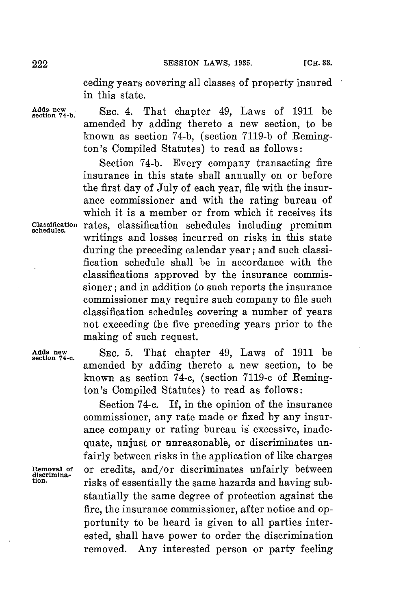ceding years covering all classes of property insured in this state.

Adds new<br>section 74-b. SEC. 4. That chapter 49, Laws of 1911 be amended **by** adding thereto a new section, to be known as section **74-b,** (section **7119-b** of Remington's Compiled Statutes) to read as follows:

Section **74-b.** Every company transacting fire insurance in this state shall annually on or before the first day of July of each year, file with the insurance commissioner and with the rating bureau of which it is a member or from which it receives its **classification** rates, classification schedules including premium **schedules.** writings and losses incurred on risks in this state during the preceding calendar year; and such classification schedule shall be in accordance with the classifications approved **by** the insurance commissioner; and in addition to such reports the insurance commissioner may require such company to file such classification schedules covering a number of years not exceeding the five preceding years prior to the making of such request.

**Adds new** SEC. **5.** That chapter 49, Laws of **1911** be **section 74-c.** amended **by** adding thereto a new section, to be known as section 74-c, (section **7119-c** of Remington's Compiled Statutes) to read as follows:

Section 74-c. If, in the opinion of the insurance commissioner, any rate made or fixed **by** any insurance company or rating bureau is excessive, inadequate, unjust or unreasonable, or discriminates unfairly between risks in the application of like charges **nemoval of** or credits, and/or discriminates unfairly between **discrimination.** risks of essentially the same hazards and having substantially the same degree of protection against the fire, the insurance commissioner, after notice and opportunity to be heard is given to all parties interested, shall have power to order the discrimination removed. Any interested person or party feeling